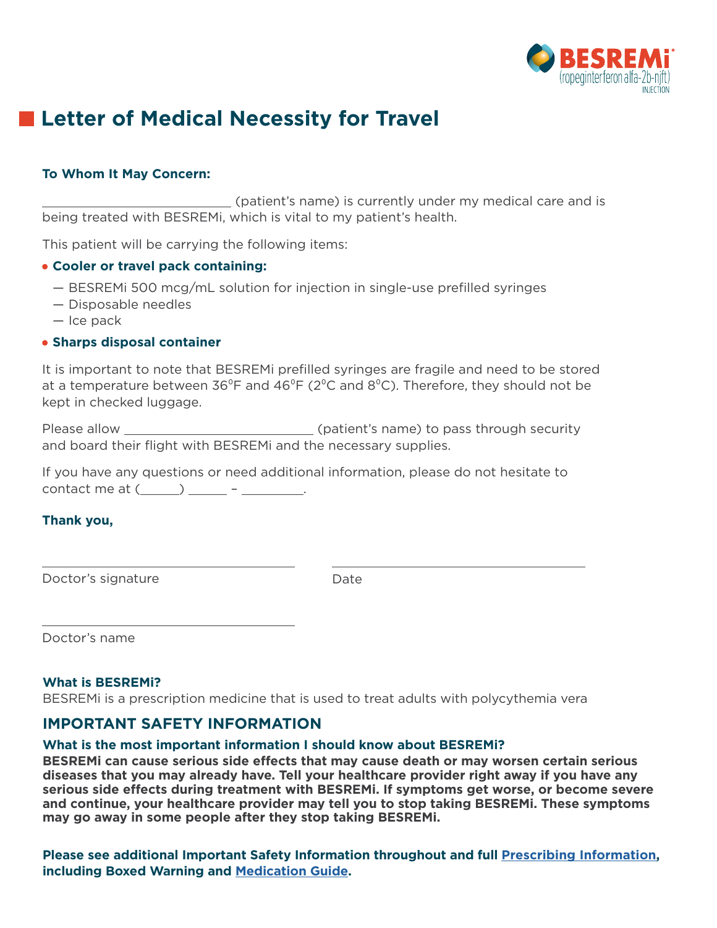

# **Letter of Medical Necessity for Travel**

# **To Whom It May Concern:**

 (patient's name) is currently under my medical care and is being treated with BESREMi, which is vital to my patient's health.

This patient will be carrying the following items:

#### **Cooler or travel pack containing:**

- BESREMi 500 mcg/mL solution for injection in single-use prefilled syringes
- Disposable needles
- Ice pack

#### **• Sharps disposal container**

It is important to note that BESREMi prefilled syringes are fragile and need to be stored at a temperature between  $36^{\circ}F$  and  $46^{\circ}F$  (2 $^{\circ}C$  and  $8^{\circ}C$ ). Therefore, they should not be kept in checked luggage.

Please allow (patient's name) to pass through security and board their flight with BESREMi and the necessary supplies.

If you have any questions or need additional information, please do not hesitate to contact me at  $(\_\_\_\_) \_\_\_\$  -  $\_\_\_\_\_$ .

#### **Thank you,**

Doctor's signature Date

Doctor's name

#### **What is BESREMi?**

BESREMi is a prescription medicine that is used to treat adults with polycythemia vera

### **IMPORTANT SAFETY INFORMATION**

#### **What is the most important information I should know about BESREMi?**

**BESREMi can cause serious side effects that may cause death or may worsen certain serious diseases that you may already have. Tell your healthcare provider right away if you have any serious side effects during treatment with BESREMi. If symptoms get worse, or become severe and continue, your healthcare provider may tell you to stop taking BESREMi. These symptoms may go away in some people after they stop taking BESREMi.**

**Please see additional Important Safety Information throughout and full [Prescribing Information,](https://us.pharmaessentia.com/wp-content/uploads/2021/11/BESREMi-USPI-November-2021-1.pdf) including Boxed Warning and [Medication Guide.](https://us.pharmaessentia.com/wp-content/uploads/2021/11/BESREMi-USPI-November-2021-1.pdf#page=18)**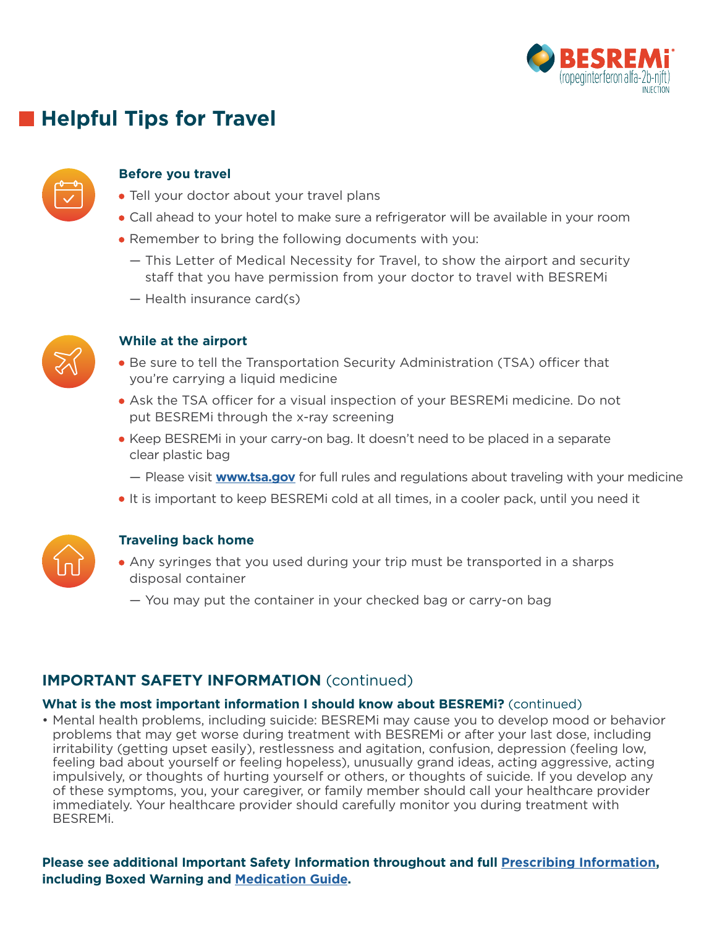

# **Helpful Tips for Travel**



## **Before you travel**

- Tell your doctor about your travel plans
- Call ahead to your hotel to make sure a refrigerator will be available in your room
- Remember to bring the following documents with you:
	- This Letter of Medical Necessity for Travel, to show the airport and security staff that you have permission from your doctor to travel with BESREMi
	- Health insurance card(s)



# **While at the airport**

- **Be sure to tell the Transportation Security Administration (TSA) officer that** you're carrying a liquid medicine
- Ask the TSA officer for a visual inspection of your BESREMi medicine. Do not put BESREMi through the x-ray screening
- Keep BESREMi in your carry-on bag. It doesn't need to be placed in a separate clear plastic bag
	- Please visit **[www.tsa.gov](https://www.tsa.gov/travel/special-procedures)** for full rules and regulations about traveling with your medicine
- It is important to keep BESREMi cold at all times, in a cooler pack, until you need it



# **Traveling back home**

- Any syringes that you used during your trip must be transported in a sharps disposal container
	- You may put the container in your checked bag or carry-on bag

# **IMPORTANT SAFETY INFORMATION** (continued)

### **What is the most important information I should know about BESREMi?** (continued)

• Mental health problems, including suicide: BESREMi may cause you to develop mood or behavior problems that may get worse during treatment with BESREMi or after your last dose, including irritability (getting upset easily), restlessness and agitation, confusion, depression (feeling low, feeling bad about yourself or feeling hopeless), unusually grand ideas, acting aggressive, acting impulsively, or thoughts of hurting yourself or others, or thoughts of suicide. If you develop any of these symptoms, you, your caregiver, or family member should call your healthcare provider immediately. Your healthcare provider should carefully monitor you during treatment with BESREMi.

**Please see additional Important Safety Information throughout and full [Prescribing Information,](https://us.pharmaessentia.com/wp-content/uploads/2021/11/BESREMi-USPI-November-2021-1.pdf) including Boxed Warning and [Medication Guide.](https://us.pharmaessentia.com/wp-content/uploads/2021/11/BESREMi-USPI-November-2021-1.pdf#page=18)**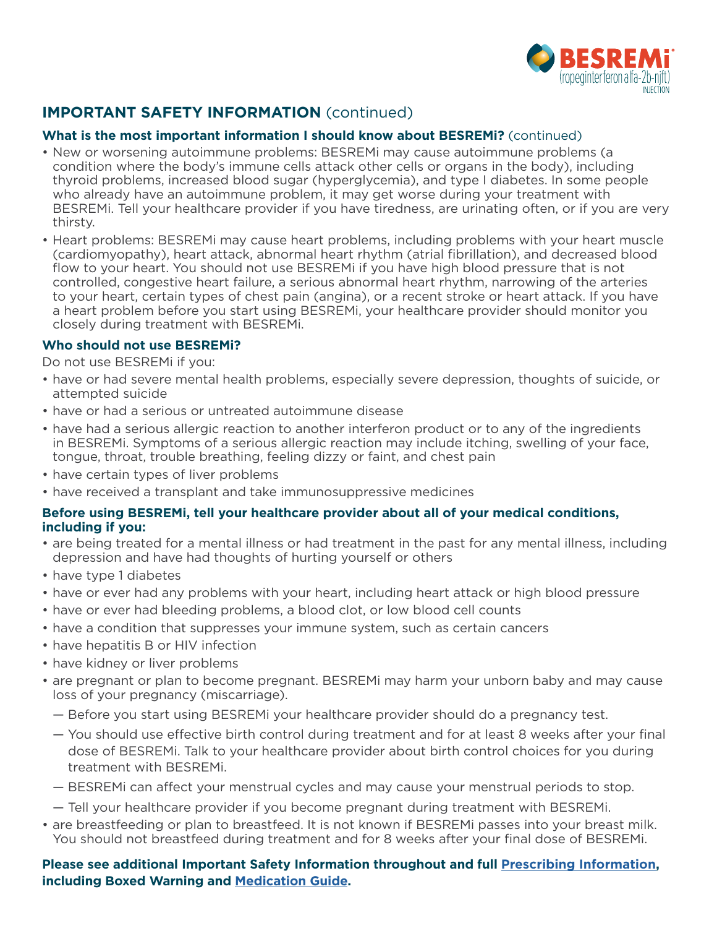

# **IMPORTANT SAFETY INFORMATION** (continued)

## **What is the most important information I should know about BESREMi?** (continued)

- New or worsening autoimmune problems: BESREMi may cause autoimmune problems (a condition where the body's immune cells attack other cells or organs in the body), including thyroid problems, increased blood sugar (hyperglycemia), and type I diabetes. In some people who already have an autoimmune problem, it may get worse during your treatment with BESREMi. Tell your healthcare provider if you have tiredness, are urinating often, or if you are very thirsty.
- Heart problems: BESREMi may cause heart problems, including problems with your heart muscle (cardiomyopathy), heart attack, abnormal heart rhythm (atrial fibrillation), and decreased blood flow to your heart. You should not use BESREMi if you have high blood pressure that is not controlled, congestive heart failure, a serious abnormal heart rhythm, narrowing of the arteries to your heart, certain types of chest pain (angina), or a recent stroke or heart attack. If you have a heart problem before you start using BESREMi, your healthcare provider should monitor you closely during treatment with BESREMi.

#### **Who should not use BESREMi?**

Do not use BESREMi if you:

- have or had severe mental health problems, especially severe depression, thoughts of suicide, or attempted suicide
- have or had a serious or untreated autoimmune disease
- have had a serious allergic reaction to another interferon product or to any of the ingredients in BESREMi. Symptoms of a serious allergic reaction may include itching, swelling of your face, tongue, throat, trouble breathing, feeling dizzy or faint, and chest pain
- have certain types of liver problems
- have received a transplant and take immunosuppressive medicines

### **Before using BESREMi, tell your healthcare provider about all of your medical conditions, including if you:**

- are being treated for a mental illness or had treatment in the past for any mental illness, including depression and have had thoughts of hurting yourself or others
- have type 1 diabetes
- have or ever had any problems with your heart, including heart attack or high blood pressure
- have or ever had bleeding problems, a blood clot, or low blood cell counts
- have a condition that suppresses your immune system, such as certain cancers
- have hepatitis B or HIV infection
- have kidney or liver problems
- are pregnant or plan to become pregnant. BESREMi may harm your unborn baby and may cause loss of your pregnancy (miscarriage).
	- Before you start using BESREMi your healthcare provider should do a pregnancy test.
	- You should use effective birth control during treatment and for at least 8 weeks after your final dose of BESREMi. Talk to your healthcare provider about birth control choices for you during treatment with BESREMi.
	- BESREMi can affect your menstrual cycles and may cause your menstrual periods to stop.
	- Tell your healthcare provider if you become pregnant during treatment with BESREMi.
- are breastfeeding or plan to breastfeed. It is not known if BESREMi passes into your breast milk. You should not breastfeed during treatment and for 8 weeks after your final dose of BESREMi.

## **Please see additional Important Safety Information throughout and full [Prescribing Information,](https://us.pharmaessentia.com/wp-content/uploads/2021/11/BESREMi-USPI-November-2021-1.pdf) including Boxed Warning and [Medication Guide.](https://us.pharmaessentia.com/wp-content/uploads/2021/11/BESREMi-USPI-November-2021-1.pdf#page=18)**